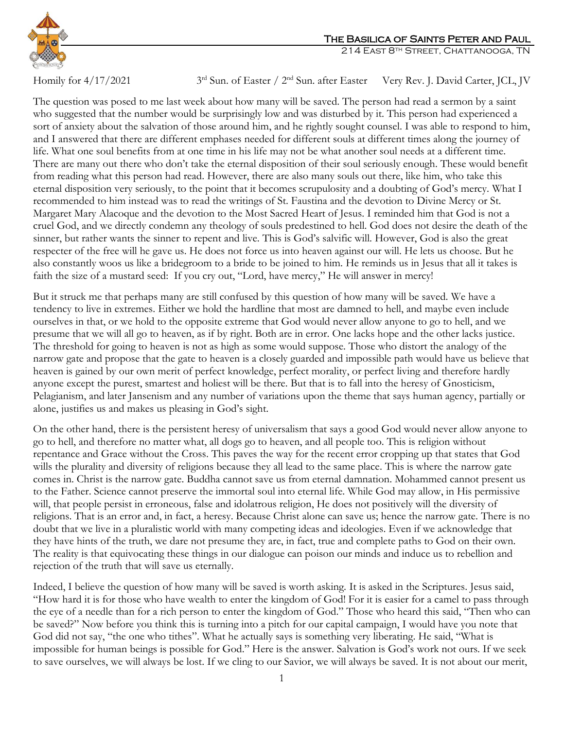

Homily for  $4/17/2021$ 

3<sup>rd</sup> Sun. of Easter / 2<sup>nd</sup> Sun. after Easter Very Rev. J. David Carter, JCL, JV

The question was posed to me last week about how many will be saved. The person had read a sermon by a saint who suggested that the number would be surprisingly low and was disturbed by it. This person had experienced a sort of anxiety about the salvation of those around him, and he rightly sought counsel. I was able to respond to him, and I answered that there are different emphases needed for different souls at different times along the journey of life. What one soul benefits from at one time in his life may not be what another soul needs at a different time. There are many out there who don't take the eternal disposition of their soul seriously enough. These would benefit from reading what this person had read. However, there are also many souls out there, like him, who take this eternal disposition very seriously, to the point that it becomes scrupulosity and a doubting of God's mercy. What I recommended to him instead was to read the writings of St. Faustina and the devotion to Divine Mercy or St. Margaret Mary Alacoque and the devotion to the Most Sacred Heart of Jesus. I reminded him that God is not a cruel God, and we directly condemn any theology of souls predestined to hell. God does not desire the death of the sinner, but rather wants the sinner to repent and live. This is God's salvific will. However, God is also the great respecter of the free will he gave us. He does not force us into heaven against our will. He lets us choose. But he also constantly woos us like a bridegroom to a bride to be joined to him. He reminds us in Jesus that all it takes is faith the size of a mustard seed: If you cry out, "Lord, have mercy," He will answer in mercy!

But it struck me that perhaps many are still confused by this question of how many will be saved. We have a tendency to live in extremes. Either we hold the hardline that most are damned to hell, and maybe even include ourselves in that, or we hold to the opposite extreme that God would never allow anyone to go to hell, and we presume that we will all go to heaven, as if by right. Both are in error. One lacks hope and the other lacks justice. The threshold for going to heaven is not as high as some would suppose. Those who distort the analogy of the narrow gate and propose that the gate to heaven is a closely guarded and impossible path would have us believe that heaven is gained by our own merit of perfect knowledge, perfect morality, or perfect living and therefore hardly anyone except the purest, smartest and holiest will be there. But that is to fall into the heresy of Gnosticism, Pelagianism, and later Jansenism and any number of variations upon the theme that says human agency, partially or alone, justifies us and makes us pleasing in God's sight.

On the other hand, there is the persistent heresy of universalism that says a good God would never allow anyone to go to hell, and therefore no matter what, all dogs go to heaven, and all people too. This is religion without repentance and Grace without the Cross. This paves the way for the recent error cropping up that states that God wills the plurality and diversity of religions because they all lead to the same place. This is where the narrow gate comes in. Christ is the narrow gate. Buddha cannot save us from eternal damnation. Mohammed cannot present us to the Father. Science cannot preserve the immortal soul into eternal life. While God may allow, in His permissive will, that people persist in erroneous, false and idolatrous religion, He does not positively will the diversity of religions. That is an error and, in fact, a heresy. Because Christ alone can save us; hence the narrow gate. There is no doubt that we live in a pluralistic world with many competing ideas and ideologies. Even if we acknowledge that they have hints of the truth, we dare not presume they are, in fact, true and complete paths to God on their own. The reality is that equivocating these things in our dialogue can poison our minds and induce us to rebellion and rejection of the truth that will save us eternally.

Indeed, I believe the question of how many will be saved is worth asking. It is asked in the Scriptures. Jesus said, "How hard it is for those who have wealth to enter the kingdom of God! For it is easier for a camel to pass through the eye of a needle than for a rich person to enter the kingdom of God." Those who heard this said, "Then who can be saved?" Now before you think this is turning into a pitch for our capital campaign, I would have you note that God did not say, "the one who tithes". What he actually says is something very liberating. He said, "What is impossible for human beings is possible for God." Here is the answer. Salvation is God's work not ours. If we seek to save ourselves, we will always be lost. If we cling to our Savior, we will always be saved. It is not about our merit,